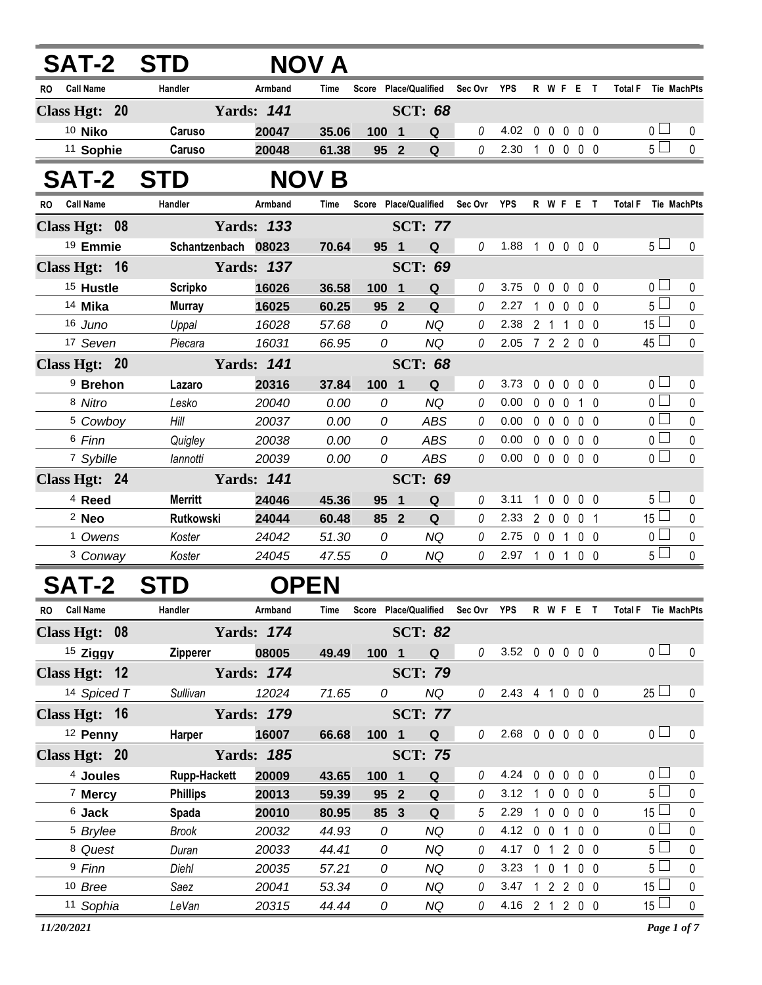| <b>SAT-2 STD</b>        |                     |                   | NOV A        |                       |                     |                                   |                |              |                   |              |                |                               |              |
|-------------------------|---------------------|-------------------|--------------|-----------------------|---------------------|-----------------------------------|----------------|--------------|-------------------|--------------|----------------|-------------------------------|--------------|
| <b>Call Name</b><br>RO. | Handler             | Armband           | Time         | Score Place/Qualified |                     | Sec Ovr                           | YPS            |              |                   | R W F E T    |                | <b>Total F</b>                | Tie MachPts  |
| Class Hgt: 20           |                     | <b>Yards: 141</b> |              |                       | <b>SCT: 68</b>      |                                   |                |              |                   |              |                |                               |              |
| 10 Niko                 | Caruso              | 20047             | 35.06        | 1001                  | Q                   | 0                                 | 4.02           |              |                   | 00000        |                | 0 <sub>1</sub>                | 0            |
| <sup>11</sup> Sophie    | Caruso              | 20048             | 61.38        | 95 2                  | Q                   | 0                                 | 2.30           |              |                   | 10000        |                | 5 <sup>1</sup>                | $\mathbf{0}$ |
| <b>SAT-2</b>            | <b>STD</b>          |                   | <b>NOV B</b> |                       |                     |                                   |                |              |                   |              |                |                               |              |
| RO Call Name            | Handler             | Armband           | Time         | Score Place/Qualified |                     | Sec Ovr YPS                       |                |              |                   | R W F E T    |                | <b>Total F</b><br>Tie MachPts |              |
| Class Hgt: 08           |                     | <b>Yards: 133</b> |              |                       | <b>SCT: 77</b>      |                                   |                |              |                   |              |                |                               |              |
| 19 Emmie                | Schantzenbach 08023 |                   | 70.64        | 95 1                  | Q                   | 0                                 | 1.88           |              |                   | 1 0 0 0 0    |                | $5\Box$                       | $\mathbf{0}$ |
| Class Hgt: 16           |                     | <b>Yards: 137</b> |              |                       | <b>SCT: 69</b>      |                                   |                |              |                   |              |                |                               |              |
| <sup>15</sup> Hustle    | <b>Scripko</b>      | 16026             | 36.58        | 100                   | $\blacksquare$<br>Q | 0                                 | 3.75           | $\mathbf{0}$ | $\mathbf 0$       | $\mathbf 0$  | 0 <sub>0</sub> | $\overline{0}$                | 0            |
| 14 Mika                 | <b>Murray</b>       | 16025             | 60.25        | 95 2                  | Q                   | 0                                 | 2.27           |              | 10                | 0            | $0\quad 0$     | 5 <sub>1</sub>                | 0            |
| 16 Juno                 | Uppal               | 16028             | 57.68        | 0                     | <b>NQ</b>           | 0                                 | 2.38           |              | 2 <sub>1</sub>    | 1            | 0 <sub>0</sub> | 15 $\Box$                     | $\mathbf{0}$ |
| 17 Seven                | Piecara             | 16031             | 66.95        | 0                     | <b>NQ</b>           | 0                                 | 2.05 7 2 2 0 0 |              |                   |              |                | $45\Box$                      | 0            |
| Class Hgt: 20           |                     | <b>Yards: 141</b> |              |                       |                     |                                   |                |              |                   |              |                |                               |              |
| <sup>9</sup> Brehon     | Lazaro              | 20316             | 37.84        | 100 1                 | Q                   | 0                                 | 3.73           |              | $0\quad 0$        | $\mathbf 0$  | 0 <sub>0</sub> | 0 <sub>l</sub>                | 0            |
| 8 Nitro                 | Lesko               | 20040             | 0.00         | 0                     | <b>NQ</b>           | 0                                 | 0.00           | $\mathbf 0$  | $\mathbf 0$       | 0            | 1 0            | $\overline{0}$                | 0            |
| <sup>5</sup> Cowboy     | Hill                | 20037             | 0.00         | 0                     | ABS                 | 0                                 | 0.00           |              | $0\quad 0$        | $\mathbf 0$  | 0 <sub>0</sub> | 0 <sub>1</sub>                | $\pmb{0}$    |
| 6 Finn                  | Quigley             | 20038             | 0.00         | 0                     | ABS                 | 0                                 | 0.00           |              | $0\quad 0$        | $\mathbf{0}$ | 0 <sub>0</sub> | $\overline{0}$                | $\mathbf 0$  |
| 7 Sybille               | lannotti            | 20039             | 0.00         | 0                     | <b>ABS</b>          | 0                                 | 0.00           |              | $0\quad 0\quad 0$ |              | $0\quad 0$     | $_0$ $\Box$                   | $\mathbf{0}$ |
| Class Hgt: 24           |                     | <b>Yards: 141</b> |              |                       | <b>SCT: 69</b>      |                                   |                |              |                   |              |                |                               |              |
| <sup>4</sup> Reed       | <b>Merritt</b>      | 24046             | 45.36        | 95                    | Q<br>1              | 0                                 | 3.11           |              | $1\quad0$         | $\mathbf 0$  | 0 <sub>0</sub> | 5 <sub>1</sub>                | 0            |
| $2$ Neo                 | Rutkowski           | 24044             | 60.48        | 85 2                  | Q                   | 0                                 | 2.33           |              | $2 0 0$           |              | 0 <sub>1</sub> | $15\Box$                      | $\mathbf 0$  |
| <sup>1</sup> Owens      | Koster              | 24042             | 51.30        | 0                     | <b>NQ</b>           | 0                                 | 2.75           |              | $0\quad 0$        | 1            | $0\quad 0$     | $\overline{0}$                | 0            |
| <sup>3</sup> Conway     | Koster              | 24045             | 47.55        | 0                     | NQ                  | 0                                 | 2.97 1 0 1     |              |                   |              | $0\quad 0$     | 5 <sub>1</sub>                | $\mathbf 0$  |
| <b>SAT-2</b>            | STD                 | <b>OPEN</b>       |              |                       |                     |                                   |                |              |                   |              |                |                               |              |
| RO Call Name            | Handler             | Armband           | Time         |                       |                     | Score Place/Qualified Sec Ovr YPS |                |              |                   |              | R W F E T      | Total F Tie MachPts           |              |
| Class Hgt: 08           |                     | <b>Yards: 174</b> |              |                       | <b>SCT: 82</b>      |                                   |                |              |                   |              |                |                               |              |
| $15$ Ziggy              | <b>Zipperer</b>     | 08005             | 49.49        | 100 1                 | <b>Q</b>            | $\theta$                          | 3.52 0 0 0 0 0 |              |                   |              |                | $\overline{0}$ $\Box$         | $\mathbf 0$  |
| Class Hgt: 12           |                     | <b>Yards: 174</b> |              |                       | <b>SCT: 79</b>      |                                   |                |              |                   |              |                |                               |              |
| 14 Spiced T             | Sullivan            | 12024             | 71.65        | 0                     | NQ                  | 0                                 | 2.43 4 1 0 0 0 |              |                   |              |                | $25\Box$                      | 0            |
| Class Hgt: 16           |                     | <b>Yards: 179</b> |              |                       | <b>SCT: 77</b>      |                                   |                |              |                   |              |                |                               |              |
| <sup>12</sup> Penny     | Harper              | 16007             | 66.68        | $100 \quad 1$         | $\mathbf Q$         | 0                                 | 2.68 0 0 0 0 0 |              |                   |              |                | 0 <sub>1</sub>                | $\pmb{0}$    |
| Class Hgt: 20           |                     | <b>Yards: 185</b> |              |                       | <b>SCT: 75</b>      |                                   |                |              |                   |              |                |                               |              |

 **Joules Rupp-Hackett 20009 43.65 100 1 Q** *0* 4.24 0 0 0 0 0 0 0 **Mercy Phillips 20013 59.39 95 2 Q** *0* 3.12 1 0 0 0 0 5 0 **Jack Spada 20010 80.95 85 3 Q** *5* 2.29 1 0 0 0 0 15 0 *Brylee Brook 20032 44.93 0 NQ 0* 4.12 0 0 1 0 0 0 0 *Quest Duran 20033 44.41 0 NQ 0* 4.17 0 1 2 0 0 5 0 *Finn Diehl 20035 57.21 0 NQ 0* 3.23 1 0 1 0 0 5 0 *Bree Saez 20041 53.34 0 NQ 0* 3.47 1 2 2 0 0 15 0 *Sophia LeVan 20315 44.44 0 NQ 0* 4.16 2 1 2 0 0 15 0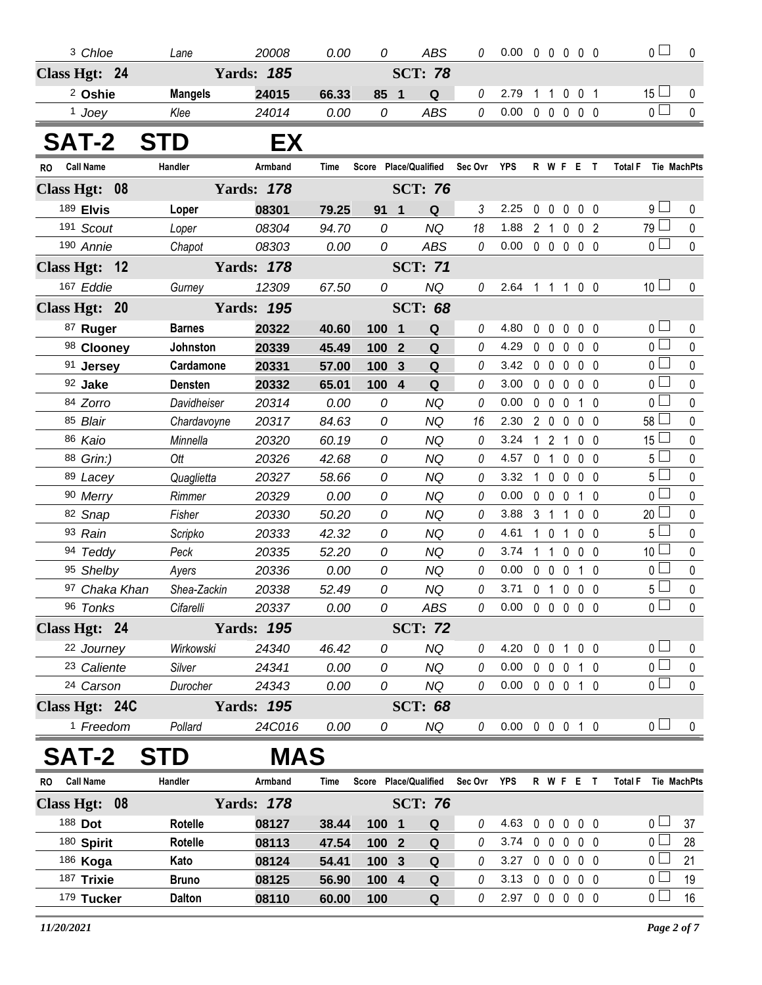| <sup>3</sup> Chloe     |                | Lane           | 20008             | 0.00        | 0     | <b>ABS</b>            | 0           | $0.00 \t0 \t0 \t0 \t0 \t0$ |   |                   |                |                 | 0 <sub>0</sub>                    | 0                  |
|------------------------|----------------|----------------|-------------------|-------------|-------|-----------------------|-------------|----------------------------|---|-------------------|----------------|-----------------|-----------------------------------|--------------------|
| Class Hgt: 24          |                |                | <b>Yards: 185</b> |             |       | <b>SCT: 78</b>        |             |                            |   |                   |                |                 |                                   |                    |
|                        |                |                |                   |             |       |                       |             |                            |   |                   |                |                 |                                   |                    |
| <sup>2</sup> Oshie     |                | <b>Mangels</b> | 24015             | 66.33       | 85 1  | Q                     | 0           | 2.79                       | 1 | $\overline{1}$    |                | $0 \t0 \t1$     | 15 <sup>1</sup><br>0 <sub>1</sub> | 0                  |
| <sup>1</sup> Joey      |                | Klee           | 24014             | 0.00        | 0     | <b>ABS</b>            | 0           | 0.00                       |   | $00000$           |                |                 |                                   | $\pmb{0}$          |
| <b>SAT-2</b>           |                | <b>STD</b>     | EX                |             |       |                       |             |                            |   |                   |                |                 |                                   |                    |
| <b>Call Name</b><br>RO |                | Handler        | Armband           | <b>Time</b> |       | Score Place/Qualified | Sec Ovr     | YPS                        |   | R W F E T         |                |                 | <b>Total F</b>                    | Tie MachPts        |
| Class Hgt: 08          |                |                | <b>Yards: 178</b> |             |       | <b>SCT: 76</b>        |             |                            |   |                   |                |                 |                                   |                    |
| 189 Elvis              |                | Loper          | 08301             | 79.25       | 91 1  | Q                     | 3           | 2.25                       |   | 00000             |                |                 | ا 9                               | 0                  |
| 191 Scout              |                | Loper          | 08304             | 94.70       | 0     | <b>NQ</b>             | 18          | 1.88 2 1 0 0 2             |   |                   |                |                 | 79 <sup>°</sup>                   | $\mathbf 0$        |
| 190 Annie              |                | Chapot         | 08303             | 0.00        | 0     | <b>ABS</b>            | 0           | 0.00                       |   | $00000$           |                |                 | 0 <sup>1</sup>                    | $\pmb{0}$          |
| Class Hgt: 12          |                |                | <b>Yards: 178</b> |             |       | <b>SCT: 71</b>        |             |                            |   |                   |                |                 |                                   |                    |
| 167 Eddie              |                | Gurney         | 12309             | 67.50       | 0     | NQ                    | 0           | 2.64 1 1 1 0 0             |   |                   |                |                 | 10 <sup>1</sup>                   | $\mathbf 0$        |
| Class Hgt: 20          | <b>SCT: 68</b> |                |                   |             |       |                       |             |                            |   |                   |                |                 |                                   |                    |
| 87 Ruger               |                | <b>Barnes</b>  | 20322             | 40.60       | 100 1 | Q                     | 0           | 4.80                       |   | 00000             |                |                 | 0 <sup>1</sup>                    | 0                  |
| 98 Clooney             |                | Johnston       | 20339             | 45.49       | 100 2 | Q                     | 0           | 4.29                       |   | 00000             |                |                 | 0 <sup>2</sup>                    | $\mathbf 0$        |
| 91 Jersey              |                | Cardamone      | 20331             | 57.00       | 100   | $\mathbf{3}$<br>Q     | 0           | 3.42                       |   | $0\quad 0$        | $\mathbf 0$    | $0\quad 0$      | 0 <sup>1</sup>                    | 0                  |
| 92 Jake                |                | <b>Densten</b> | 20332             | 65.01       | 100   | $\overline{4}$<br>Q   | 0           | 3.00                       |   | 00000             |                |                 | 0 <sup>1</sup>                    | $\pmb{0}$          |
| 84 Zorro               |                | Davidheiser    | 20314             | 0.00        | 0     | <b>NQ</b>             | 0           | 0.00                       |   | $0\quad 0\quad 0$ |                | 10              | 0 l                               | 0                  |
| 85 Blair               |                | Chardavoyne    | 20317             | 84.63       | 0     | <b>NQ</b>             | 16          | 2.30                       |   | 2 0 0             |                | 0 <sub>0</sub>  | 58 <sup>1</sup>                   | 0                  |
| 86 Kaio                |                | Minnella       | 20320             | 60.19       | 0     | NQ                    | 0           | 3.24                       |   | 1 2 1 0 0         |                |                 | 15 <sup>1</sup>                   | 0                  |
| 88 Grin:)              |                | Ott            | 20326             | 42.68       | 0     | <b>NQ</b>             | 0           | 4.57                       |   | 0 <sub>1</sub>    | $\mathbf 0$    | $0\quad 0$      | 5 <sup>1</sup>                    | $\pmb{0}$          |
| 89 Lacey               |                | Quaglietta     | 20327             | 58.66       | 0     | ΝQ                    | 0           | 3.32                       |   | 1 0 0             |                | $0\quad 0$      | 5 <sup>1</sup>                    | 0                  |
| 90 Merry               |                | Rimmer         | 20329             | 0.00        | 0     | <b>NQ</b>             | 0           | 0.00                       |   | $0\quad 0\quad 0$ |                | $1\quad0$       | 0 l                               | $\mathbf 0$        |
| 82 Snap                |                | Fisher         | 20330             | 50.20       | 0     | ΝQ                    | 0           | 3.88                       |   | 3 <sub>1</sub>    | $\mathbf{1}$   | $0\quad 0$      | 20 <sup>1</sup>                   | 0                  |
| 93 Rain                |                | Scripko        | 20333             | 42.32       | 0     | <b>NQ</b>             | 0           | 4.61                       |   | $1\quad0$         | $\overline{1}$ | $0\quad 0$      | 5 <sup>1</sup>                    | $\pmb{0}$          |
| 94 Teddy               |                | Peck           | 20335             | 52.20       | 0     | NQ                    | 0           | 3.74                       | 1 | $\overline{1}$    | $\mathbf 0$    | $0\quad 0$      | 10 <sup>1</sup>                   | 0                  |
| 95 Shelby              |                | Ayers          | 20336             | 0.00        | 0     | <b>NQ</b>             | 0           | 0.00                       |   | $0\quad 0\quad 0$ |                | $1\quad0$       | 0 l                               | $\pmb{0}$          |
|                        | 97 Chaka Khan  | Shea-Zackin    | 20338             | 52.49       | 0     | <b>NQ</b>             | 0           | 3.71                       |   | 0 <sub>1</sub>    |                | $0\quad0\quad0$ | 5 l                               | 0                  |
| 96 Tonks               |                | Cifarelli      | 20337             | 0.00        | 0     | <b>ABS</b>            | $\theta$    | $0.00 \t0 \t0 \t0 \t0 \t0$ |   |                   |                |                 | 0 <sub>1</sub>                    | 0                  |
| Class Hgt: 24          |                |                | <b>Yards: 195</b> |             |       | <b>SCT: 72</b>        |             |                            |   |                   |                |                 |                                   |                    |
| 22 Journey             |                | Wirkowski      | 24340             | 46.42       | 0     | <b>NQ</b>             | 0           | 4.20                       |   | 0 0 1 0 0         |                |                 | 0 <sub>1</sub>                    | 0                  |
| 23 Caliente            |                | Silver         | 24341             | 0.00        | 0     | <b>NQ</b>             | $\theta$    | 0.00                       |   | 0 0 0 1 0         |                |                 | 0 <sub>0</sub>                    | $\pmb{0}$          |
| 24 Carson              |                | Durocher       | 24343             | 0.00        | 0     | NQ                    | 0           | 0.00                       |   | 0 0 0 1 0         |                |                 | 0 <sub>l</sub>                    | 0                  |
| Class Hgt: 24C         |                |                | <b>Yards: 195</b> |             |       | <b>SCT: 68</b>        |             |                            |   |                   |                |                 |                                   |                    |
| <sup>1</sup> Freedom   |                | Pollard        | 24C016            | 0.00        | 0     | NQ                    | 0           | 0.00 0 0 0 1 0             |   |                   |                |                 | 0 <sub>1</sub>                    | 0                  |
| <b>SAT-2</b>           |                | <b>STD</b>     | <b>MAS</b>        |             |       |                       |             |                            |   |                   |                |                 |                                   |                    |
| <b>Call Name</b><br>RO |                | Handler        | Armband           | Time        |       | Score Place/Qualified | Sec Ovr YPS |                            |   | R W F E T         |                |                 | <b>Total F</b>                    | <b>Tie MachPts</b> |
| Class Hgt: 08          |                |                | <b>Yards: 178</b> |             |       | <b>SCT: 76</b>        |             |                            |   |                   |                |                 |                                   |                    |
| 188 Dot                |                | <b>Rotelle</b> | 08127             | 38.44       | 100 1 | Q                     | 0           | 4.63                       |   | 00000             |                |                 | 0 <sub>1</sub>                    | 37                 |
| 180 Spirit             |                | Rotelle        | 08113             | 47.54       | 100 2 | Q                     | 0           | 3.74                       |   | $0\quad 0$        | $\mathbf{0}$   | $0\quad 0$      | 0 <sub>1</sub>                    | 28                 |
| 186 Koga               |                | Kato           | 08124             | 54.41       | 100 3 | ${\bf Q}$             | 0           | 3.27                       |   | 0 0 0 0 0         |                |                 | 0 <sub>0</sub>                    | 21                 |
| 187 Trixie             |                | <b>Bruno</b>   | 08125             | 56.90       | 100 4 | Q                     | 0           | 3.13                       |   | 00000             |                |                 | 0 <sub>0</sub>                    | 19                 |
| 179 Tucker             |                | <b>Dalton</b>  | 08110             | 60.00       | 100   | Q                     | 0           | 2.97 0 0 0 0 0             |   |                   |                |                 | 0 <sub>1</sub>                    | 16                 |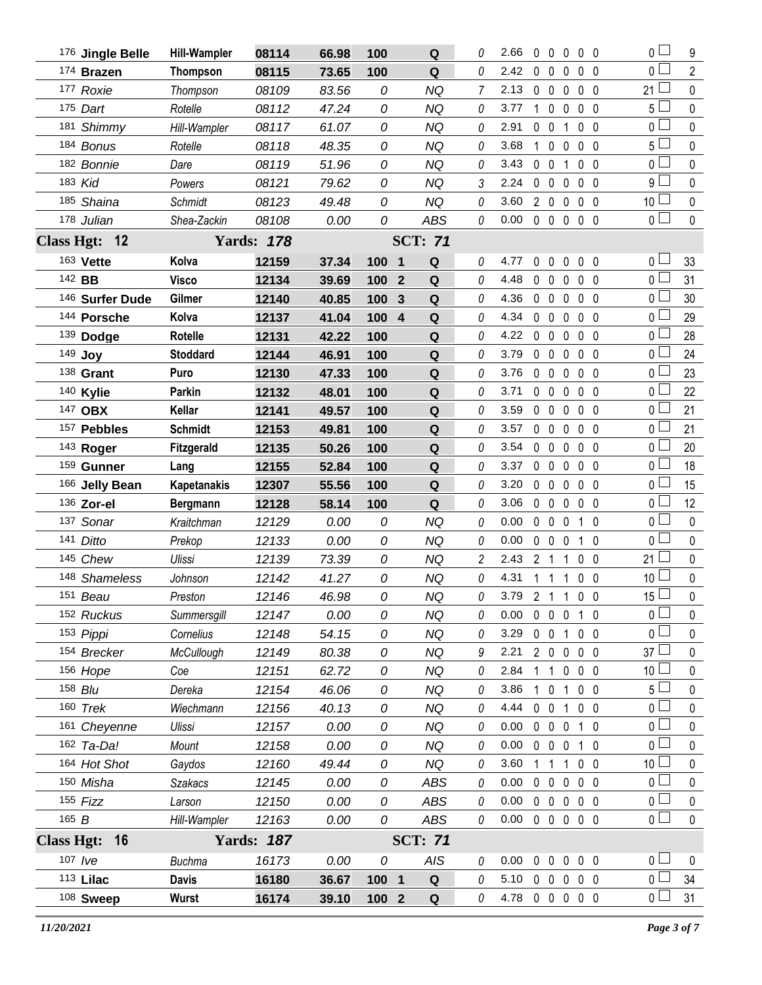|                   | 176 Jingle Belle | <b>Hill-Wampler</b> | 08114             | 66.98 | 100   | Q                             | 0 | 2.66           | $0\quad 0$     |             | $\overline{0}$ | $0\quad 0$     | $\overline{0}$  | 9              |
|-------------------|------------------|---------------------|-------------------|-------|-------|-------------------------------|---|----------------|----------------|-------------|----------------|----------------|-----------------|----------------|
|                   | 174 Brazen       | <b>Thompson</b>     | 08115             | 73.65 | 100   | ${\bf Q}$                     | 0 | 2.42           | $\mathbf 0$    | $\mathbf 0$ | 0              | $0\quad 0$     | 0 <sub>1</sub>  | $\overline{2}$ |
|                   | 177 Roxie        | Thompson            | 08109             | 83.56 | 0     | <b>NQ</b>                     | 7 | 2.13           | $0\quad 0$     |             | $\mathbf 0$    | 0 <sub>0</sub> | 21 <sup>1</sup> | $\pmb{0}$      |
|                   | 175 Dart         | Rotelle             | 08112             | 47.24 | 0     | <b>NQ</b>                     | 0 | 3.77           | $1\quad 0$     |             | $\mathbf 0$    | 0 <sub>0</sub> | 5 <sub>1</sub>  | $\pmb{0}$      |
|                   | 181 Shimmy       | Hill-Wampler        | 08117             | 61.07 | 0     | <b>NQ</b>                     | 0 | 2.91           | $\mathbf 0$    | $\mathbf 0$ | 1              | 0 <sub>0</sub> | 0 l             | $\mathbf 0$    |
|                   | 184 Bonus        | Rotelle             | 08118             | 48.35 | 0     | <b>NQ</b>                     | 0 | 3.68           | $1\quad 0$     |             | $\mathbf 0$    | $0\quad 0$     | 5 <sub>1</sub>  | $\pmb{0}$      |
|                   | 182 Bonnie       | Dare                | 08119             | 51.96 | 0     | <b>NQ</b>                     | 0 | 3.43           | $0\quad 0$     |             | $\mathbf{1}$   | 0 <sub>0</sub> | 0 L             | $\mathbf 0$    |
|                   | 183 Kid          | Powers              | 08121             | 79.62 | 0     | <b>NQ</b>                     | 3 | 2.24           | $\mathbf 0$    | $\mathbf 0$ | $\mathbf 0$    | $0\quad 0$     | 9 L             | $\pmb{0}$      |
|                   | 185 Shaina       | Schmidt             | 08123             | 49.48 | 0     | <b>NQ</b>                     | 0 | 3.60           | $2\quad 0$     |             | $\mathbf 0$    | 0 <sub>0</sub> | 10 <sup>L</sup> | $\mathbf 0$    |
|                   | 178 Julian       | Shea-Zackin         | 08108             | 0.00  | 0     | <b>ABS</b>                    | 0 | 0.00           | $0\quad 0$     |             | $\mathbf 0$    | 0 <sub>0</sub> | 0 <sub>1</sub>  | $\pmb{0}$      |
| <b>Class Hgt:</b> | 12               |                     | <b>Yards: 178</b> |       |       | <b>SCT: 71</b>                |   |                |                |             |                |                |                 |                |
|                   | 163 Vette        | Kolva               | 12159             | 37.34 | 100 1 | Q                             | 0 | 4.77           | $0\quad 0$     |             | $\mathbf 0$    | $0\quad 0$     | 0 <sub>0</sub>  | 33             |
|                   | 142 BB           | <b>Visco</b>        | 12134             | 39.69 | 100   | $\mathbf Q$<br>$\overline{2}$ | 0 | 4.48           | $\mathbf 0$    | $\mathbf 0$ | $\mathbf 0$    | 0 <sub>0</sub> | 0 <sup>1</sup>  | 31             |
|                   | 146 Surfer Dude  | Gilmer              | 12140             | 40.85 | 100   | Q<br>3                        | 0 | 4.36           | $0\quad 0$     |             | 0              | 0 <sub>0</sub> | 0 L             | 30             |
|                   | 144 Porsche      | Kolva               | 12137             | 41.04 | 100   | $\overline{\mathbf{4}}$<br>Q  | 0 | 4.34           | $\mathbf{0}$   | $\mathbf 0$ | 0              | $0\quad 0$     | 0 <sub>0</sub>  | 29             |
|                   | 139 Dodge        | Rotelle             | 12131             | 42.22 | 100   | Q                             | 0 | 4.22           | 0              | $\mathbf 0$ | $\mathbf 0$    | 0 <sub>0</sub> | 0 l             | 28             |
|                   | 149 Joy          | <b>Stoddard</b>     | 12144             | 46.91 | 100   | ${\bf Q}$                     | 0 | 3.79           | $\mathbf 0$    | $\mathbf 0$ | $\mathbf 0$    | $0\quad 0$     | 0 <sup>1</sup>  | 24             |
|                   | 138 Grant        | Puro                | 12130             | 47.33 | 100   | ${\bf Q}$                     | 0 | 3.76           | $0\quad 0$     |             | $\mathbf 0$    | 0 <sub>0</sub> | 0 L             | 23             |
|                   | 140 Kylie        | <b>Parkin</b>       | 12132             | 48.01 | 100   | ${\bf Q}$                     | 0 | 3.71           | $0\quad 0$     |             | $\mathbf 0$    | $0\quad 0$     | 0 <sub>0</sub>  | 22             |
|                   | 147 OBX          | Kellar              | 12141             | 49.57 | 100   | Q                             | 0 | 3.59           | $0\quad 0$     |             | 0              | 0 <sub>0</sub> | 0 L             | 21             |
|                   | 157 Pebbles      | <b>Schmidt</b>      | 12153             | 49.81 | 100   | $\mathbf Q$                   | 0 | 3.57           | $0\quad 0$     |             | $\mathbf 0$    | $0\quad 0$     | 0 L             | 21             |
|                   | 143 Roger        | <b>Fitzgerald</b>   | 12135             | 50.26 | 100   | Q                             | 0 | 3.54           | $0\quad 0$     |             | 0              | $0\quad 0$     | 0 l             | 20             |
|                   | 159 Gunner       | Lang                | 12155             | 52.84 | 100   | ${\bf Q}$                     | 0 | 3.37           | $0\quad 0$     |             | $\mathbf 0$    | $0\quad 0$     | 0 <sup>1</sup>  | 18             |
|                   | 166 Jelly Bean   | <b>Kapetanakis</b>  | 12307             | 55.56 | 100   | Q                             | 0 | 3.20           | $0\quad 0$     |             | 0              | $0\quad 0$     | 0 <sub>0</sub>  | 15             |
|                   | 136 Zor-el       | <b>Bergmann</b>     | 12128             | 58.14 | 100   | ${\bf Q}$                     | 0 | 3.06           | $0\quad 0$     |             | $\mathbf 0$    | $0\quad 0$     | 0 <sup>1</sup>  | 12             |
|                   | 137 Sonar        | Kraitchman          | 12129             | 0.00  | 0     | <b>NQ</b>                     | 0 | 0.00           | $0\quad 0$     |             | $\overline{0}$ | $1\quad0$      | $\overline{0}$  | $\mathbf 0$    |
|                   | 141 Ditto        | Prekop              | 12133             | 0.00  | 0     | <b>NQ</b>                     | 0 | 0.00           | $0\quad 0$     |             | $\mathbf 0$    | 1 0            | 0 <sub>0</sub>  | $\mathbf 0$    |
|                   | 145 Chew         | Ulissi              | 12139             | 73.39 | 0     | <b>NQ</b>                     | 2 | 2.43           | 2 <sub>1</sub> |             | 1              | 0 <sub>0</sub> | 21 <sup>l</sup> | 0              |
|                   | 148 Shameless    |                     |                   |       |       |                               |   |                |                |             |                |                | 10 <sup>L</sup> | $\pmb{0}$      |
|                   |                  | Johnson             | 12142             | 41.27 | 0     | <b>NQ</b>                     | 0 | 4.31           | $1\quad1$      |             | $\mathbf{1}$   | 0 <sub>0</sub> |                 |                |
|                   | 151 Beau         | Preston             | 12146             | 46.98 | 0     | NQ                            | 0 | 3.79           |                |             | 2 1 1 0 0      |                | 15 <sup>1</sup> | $\mathbf 0$    |
|                   | 152 Ruckus       | Summersgill         | 12147             | 0.00  | 0     | NQ                            | 0 | 0.00           |                |             | 0 0 0 1 0      |                | $\overline{0}$  | $\mathbf 0$    |
|                   | 153 Pippi        | Cornelius           | 12148             | 54.15 | 0     | <b>NQ</b>                     | 0 | 3.29           |                |             | 0 0 1 0 0      |                | 0 <sub>1</sub>  | 0              |
|                   | 154 Brecker      | McCullough          | 12149             | 80.38 | 0     | NQ                            | 9 | 2.21           |                |             | 2 0 0 0 0      |                | $37 \Box$       | $\mathbf 0$    |
|                   | 156 Hope         | Coe                 | 12151             | 62.72 | 0     | <b>NQ</b>                     | 0 | 2.84           |                |             | 1 1 0 0 0      |                | 10 <sup>1</sup> | 0              |
|                   | 158 Blu          | Dereka              | 12154             | 46.06 | 0     | <b>NQ</b>                     | 0 | 3.86           |                |             | 1 0 1 0 0      |                | 5 <sub>1</sub>  | $\mathbf 0$    |
|                   | 160 Trek         | Wiechmann           | 12156             | 40.13 | 0     | <b>NQ</b>                     | 0 | 4.44           |                |             | 0 0 1 0 0      |                | 0 L             | 0              |
|                   | 161 Cheyenne     | Ulissi              | 12157             | 0.00  | 0     | <b>NQ</b>                     | 0 | 0.00           |                |             | 0 0 0 1 0      |                | 0 <sup>1</sup>  | $\mathbf 0$    |
|                   | 162 Ta-Da!       | Mount               | 12158             | 0.00  | 0     | NQ                            | 0 | 0.00           |                |             | 0 0 0 1 0      |                | 0 <sub>1</sub>  | 0              |
|                   | 164 Hot Shot     | Gaydos              | 12160             | 49.44 | 0     | <b>NQ</b>                     | 0 | 3.60           | 1 1            |             | 1 0 0          |                | 10 <sup>1</sup> | $\mathbf 0$    |
|                   | 150 Misha        | Szakacs             | 12145             | 0.00  | 0     | <b>ABS</b>                    | 0 | 0.00           |                |             | 0 0 0 0 0      |                | 0 <sub>0</sub>  | 0              |
|                   | $155$ Fizz       | Larson              | 12150             | 0.00  | 0     | <b>ABS</b>                    | 0 | 0.00           |                |             | 0 0 0 0 0      |                | 0 <sub>l</sub>  | $\pmb{0}$      |
| 165 B             |                  | Hill-Wampler        | 12163             | 0.00  | 0     | <b>ABS</b>                    | 0 | 0.00           |                |             | 00000          |                | 0 <sub>1</sub>  | $\mathbf 0$    |
|                   | Class Hgt: 16    |                     | <b>Yards: 187</b> |       |       | <b>SCT: 71</b>                |   |                |                |             |                |                |                 |                |
|                   | 107 $Ive$        | <b>Buchma</b>       | 16173             | 0.00  | 0     | <b>AIS</b>                    |   | 0.00           |                |             | 00000          |                | 0 <sub>1</sub>  | 0              |
|                   | 113 Lilac        | <b>Davis</b>        | 16180             | 36.67 | 100 1 | Q                             | 0 | 5.10 0 0 0 0 0 |                |             |                |                | 0 <sub>1</sub>  | 34             |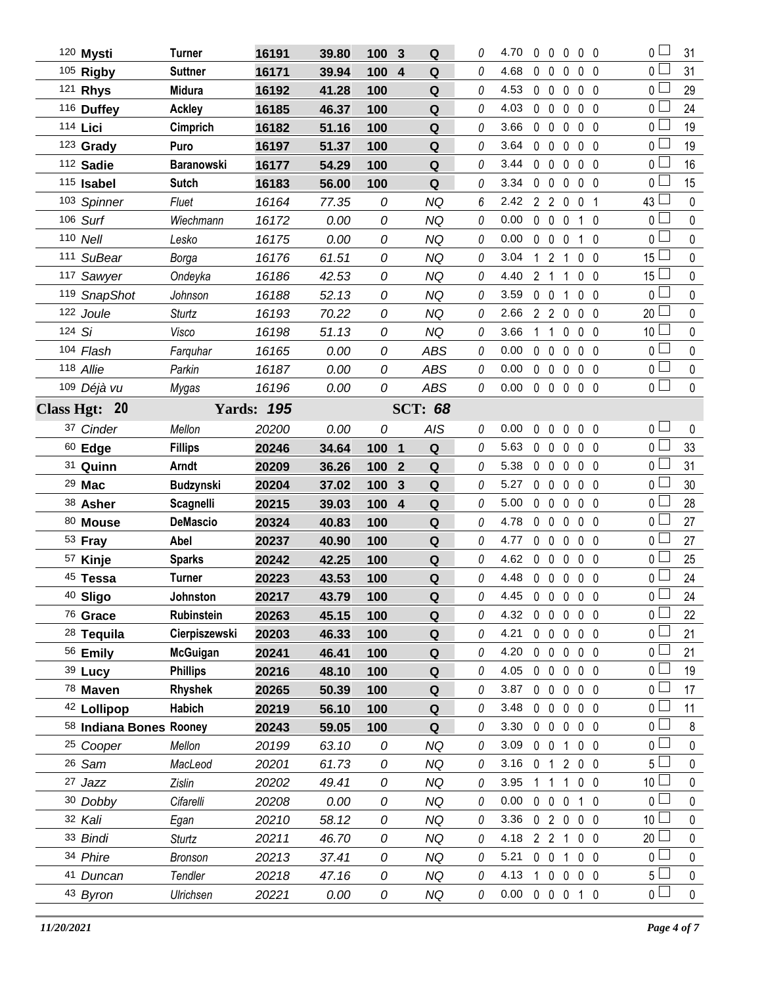|        | 120 Mysti               | Turner            | 16191             | 39.80 | 100<br>3                       | Q              | 0        | 4.70           | $\mathbf 0$    | $\overline{0}$      | $\mathbf{0}$   | 0 <sub>0</sub>    | 0 <sub>1</sub>                | 31          |
|--------|-------------------------|-------------------|-------------------|-------|--------------------------------|----------------|----------|----------------|----------------|---------------------|----------------|-------------------|-------------------------------|-------------|
|        | 105 Rigby               | <b>Suttner</b>    | 16171             | 39.94 | 100<br>$\overline{\mathbf{4}}$ | Q              | 0        | 4.68           | 0              | $\mathbf 0$         | 0              | $0\quad 0$        | 0 <sup>1</sup>                | 31          |
|        | 121 Rhys                | <b>Midura</b>     | 16192             | 41.28 | 100                            | Q              | 0        | 4.53           |                | $0\quad 0$          | $\mathbf 0$    | 0 <sub>0</sub>    | 0 L                           | 29          |
|        | 116 Duffey              | <b>Ackley</b>     | 16185             | 46.37 | 100                            | Q              | 0        | 4.03           | $\mathbf 0$    | $\overline{0}$      | 0              | $0\quad 0$        | 0 <sup>1</sup>                | 24          |
|        | 114 Lici                | Cimprich          | 16182             | 51.16 | 100                            | Q              | 0        | 3.66           |                | $0\quad 0$          | 0              | 0 <sub>0</sub>    | 0 L                           | 19          |
|        | $123$ Grady             | Puro              | 16197             | 51.37 | 100                            | Q              | 0        | 3.64           | $\mathbf 0$    | $\mathbf 0$         | 0              | $0\quad 0$        | 0 <sub>l</sub>                | 19          |
|        | 112 Sadie               | <b>Baranowski</b> | 16177             | 54.29 | 100                            | Q              | 0        | 3.44           | $\mathbf 0$    | $\mathbf 0$         | $\mathbf 0$    | 0 <sub>0</sub>    | 0 l                           | 16          |
|        | $115$ Isabel            | <b>Sutch</b>      | 16183             | 56.00 | 100                            | Q              | 0        | 3.34           | $\mathbf 0$    | $\mathbf 0$         | 0              | $0\quad 0$        | 0 <sub>l</sub>                | 15          |
|        | 103 Spinner             | Fluet             | 16164             | 77.35 | 0                              | NQ             | 6        | 2.42           |                | 2 <sub>2</sub>      | $\mathbf 0$    | 0 <sub>1</sub>    | 43 l                          | $\mathbf 0$ |
|        | 106 Surf                | Wiechmann         | 16172             | 0.00  | 0                              | <b>NQ</b>      | 0        | 0.00           | $\mathbf 0$    | $\mathbf 0$         | $\mathbf 0$    | 1 0               | 0 <sub>0</sub>                | $\pmb{0}$   |
|        | 110 Nell                | Lesko             | 16175             | 0.00  | 0                              | <b>NQ</b>      | 0        | 0.00           |                | $0\quad 0$          | $\mathbf 0$    | $1\quad0$         | 0 <sub>0</sub>                | $\mathbf 0$ |
|        | 111 SuBear              | Borga             | 16176             | 61.51 | 0                              | <b>NQ</b>      | 0        | 3.04           | 1              | $\overline{2}$      | 1              | 0 <sub>0</sub>    | $15\perp$                     | $\mathbf 0$ |
|        | 117 Sawyer              | Ondeyka           | 16186             | 42.53 | 0                              | <b>NQ</b>      | 0        | 4.40           | 2 <sub>1</sub> |                     | $\mathbf{1}$   | 0 <sub>0</sub>    | 15                            | $\mathbf 0$ |
|        | 119 SnapShot            | Johnson           | 16188             | 52.13 | 0                              | <b>NQ</b>      | 0        | 3.59           | $\mathbf 0$    | $\overline{0}$      | 1              | 0 <sub>0</sub>    | 0 <sub>0</sub>                | $\pmb{0}$   |
|        | 122 Joule               | <b>Sturtz</b>     | 16193             | 70.22 | 0                              | <b>NQ</b>      | 0        | 2.66           |                | 2 <sub>2</sub>      | $\mathbf 0$    | 0 <sub>0</sub>    | 20 <sup>L</sup>               | $\mathbf 0$ |
| 124 Si |                         | Visco             | 16198             | 51.13 | 0                              | <b>NQ</b>      | 0        | 3.66           | 1              | $\mathbf{1}$        | 0              | $0\quad 0$        | 10 <sup>1</sup>               | $\mathbf 0$ |
|        | 104 Flash               | Farquhar          | 16165             | 0.00  | 0                              | <b>ABS</b>     | 0        | 0.00           | $\mathbf 0$    | $\mathbf 0$         | 0              | 0 <sub>0</sub>    | 0 <sub>0</sub>                | $\mathbf 0$ |
|        | 118 Allie               | Parkin            | 16187             | 0.00  | 0                              | <b>ABS</b>     | 0        | 0.00           | $\mathbf 0$    | $\mathbf 0$         | 0              | $0\quad 0$        | 0 <sub>1</sub>                | $\pmb{0}$   |
|        | 109 Déjà vu             | Mygas             | 16196             | 0.00  | 0                              | <b>ABS</b>     | 0        | 0.00           |                | $0\quad 0\quad 0$   |                | $0\quad 0$        | $\overline{0}$                | 0           |
|        | Class Hgt: 20           |                   | <b>Yards: 195</b> |       |                                | <b>SCT: 68</b> |          |                |                |                     |                |                   |                               |             |
|        | 37 Cinder               | Mellon            | 20200             | 0.00  | 0                              | AIS            | 0        | 0.00           | 0              | $\ddot{\mathbf{0}}$ | $\mathbf 0$    | 0 <sub>0</sub>    | 0 <sub>1</sub>                | 0           |
|        | $60$ Edge               | <b>Fillips</b>    | 20246             | 34.64 | 100<br>$\mathbf 1$             | ${\bf Q}$      | 0        | 5.63           |                | $0\quad 0$          | 0              | 0 <sub>0</sub>    | 0 L                           | 33          |
|        | 31 Quinn                | Arndt             | 20209             | 36.26 | 100<br>$\mathbf{2}$            | Q              | 0        | 5.38           |                | $0\quad 0$          | $\mathbf 0$    | 0 <sub>0</sub>    | 0 <sup>1</sup>                | 31          |
|        | 29 Mac                  | <b>Budzynski</b>  | 20204             | 37.02 | 100<br>3                       | Q              | 0        | 5.27           |                | $0\quad 0$          | 0              | $0\quad 0$        | 0 <sub>0</sub>                | 30          |
|        |                         |                   |                   |       |                                |                |          |                |                |                     |                |                   |                               |             |
|        | 38 Asher                | <b>Scagnelli</b>  | 20215             | 39.03 | 100<br>$\overline{4}$          | $\mathbf Q$    | 0        | 5.00           |                | $0\quad 0$          | $\mathbf 0$    | 0 <sub>0</sub>    | 0 <sup>1</sup>                | 28          |
|        | $80$ Mouse              | <b>DeMascio</b>   | 20324             | 40.83 | 100                            | ${\bf Q}$      | 0        | 4.78           |                | $0\quad 0$          | 0              | 0 <sub>0</sub>    | 0 l                           | 27          |
|        | 53 Fray                 | Abel              | 20237             | 40.90 | 100                            | Q              | 0        | 4.77           |                | $0\quad 0$          | $\mathbf 0$    | 0 <sub>0</sub>    | 0 <sub>0</sub>                | 27          |
|        | 57 Kinje                | <b>Sparks</b>     | 20242             | 42.25 | 100                            | Q              | 0        | 4.62           |                | $0\quad 0$          | 0              | 0 <sub>0</sub>    | 0 l                           | 25          |
|        | 45 Tessa                | <b>Turner</b>     | 20223             | 43.53 | 100                            | Q              | $\Omega$ | 4.48           |                | $0\quad 0$          |                | $0\quad 0\quad 0$ | 0 l                           | 24          |
|        | 40 Sligo                | Johnston          | 20217             | 43.79 | 100                            | Q              | 0        | 4.45 0 0 0 0 0 |                |                     |                |                   | 0                             | 24          |
|        | 76 Grace                | <b>Rubinstein</b> | 20263             | 45.15 | 100                            | Q              | 0        | 4.32           |                |                     |                | 00000             | $\overline{0}$ $\overline{a}$ | 22          |
|        | <sup>28</sup> Tequila   | Cierpiszewski     | 20203             | 46.33 | 100                            | Q              | 0        | 4.21           |                | $0\quad 0$          | $\mathbf 0$    | $0\quad 0$        | 0 l                           | 21          |
|        | 56 Emily                | <b>McGuigan</b>   | 20241             | 46.41 | 100                            | Q              | 0        | 4.20           |                | $0\quad 0\quad 0$   |                | $0\quad 0$        | 0 L                           | 21          |
|        | 39 Lucy                 | <b>Phillips</b>   | 20216             | 48.10 | 100                            | Q              | 0        | 4.05           |                | $0\quad 0$          | $\mathbf 0$    | $0\quad 0$        | 0 L                           | 19          |
|        | 78 Maven                | Rhyshek           | 20265             | 50.39 | 100                            | Q              | 0        | 3.87           |                | $0\quad 0\quad 0$   |                | $0\quad 0$        | 0 <sub>0</sub>                | 17          |
|        | 42 Lollipop             | Habich            | 20219             | 56.10 | 100                            | Q              | 0        | 3.48           |                | $0\quad 0$          | $\mathbf 0$    | $0\quad 0$        | 0 L                           | 11          |
|        | 58 Indiana Bones Rooney |                   | 20243             | 59.05 | 100                            | Q              | 0        | 3.30           |                | $0\quad 0$          | $\mathbf 0$    | $0\quad 0$        | 0 L                           | 8           |
|        | <sup>25</sup> Cooper    | Mellon            | 20199             | 63.10 | 0                              | NQ             | 0        | 3.09           | $0\quad 0$     |                     | 1              | 0 <sub>0</sub>    | 0 l                           | 0           |
|        | 26 Sam                  | MacLeod           | 20201             | 61.73 | 0                              | <b>NQ</b>      | 0        | 3.16           | 0 <sub>1</sub> |                     | $\overline{2}$ | $0\quad 0$        | 5 <sub>1</sub>                | 0           |
|        | 27 Jazz                 | Zislin            | 20202             | 49.41 | 0                              | <b>NQ</b>      | 0        | 3.95           | 1.             | -1                  | $\overline{1}$ | 0 <sub>0</sub>    | 10 <sup>L</sup>               | 0           |
|        | 30 Dobby                | Cifarelli         | 20208             | 0.00  | 0                              | <b>NQ</b>      | 0        | 0.00           |                | $0\quad 0\quad 0$   |                | $1\quad0$         | $0-$                          | 0           |
|        | 32 Kali                 | Egan              | 20210             | 58.12 | 0                              | NQ             | 0        | 3.36           |                |                     |                | 02000             | 10 $\lfloor$                  | 0           |
|        | 33 Bindi                | <b>Sturtz</b>     | 20211             | 46.70 | 0                              | <b>NQ</b>      | 0        | 4.18           |                | $2 \quad 2 \quad 1$ |                | $0\quad 0$        | 20                            | 0           |
|        | 34 Phire                | <b>Bronson</b>    | 20213             | 37.41 | 0                              | <b>NQ</b>      | 0        | 5.21           |                | $0\quad 0$          | 1              | 0 <sub>0</sub>    | 0 L                           | $\mathbf 0$ |
|        | 41 Duncan               | Tendler           | 20218             | 47.16 | 0                              | <b>NQ</b>      | 0        | 4.13           |                | 1 0 0               |                | $0\quad 0$        | 5 l                           | $\pmb{0}$   |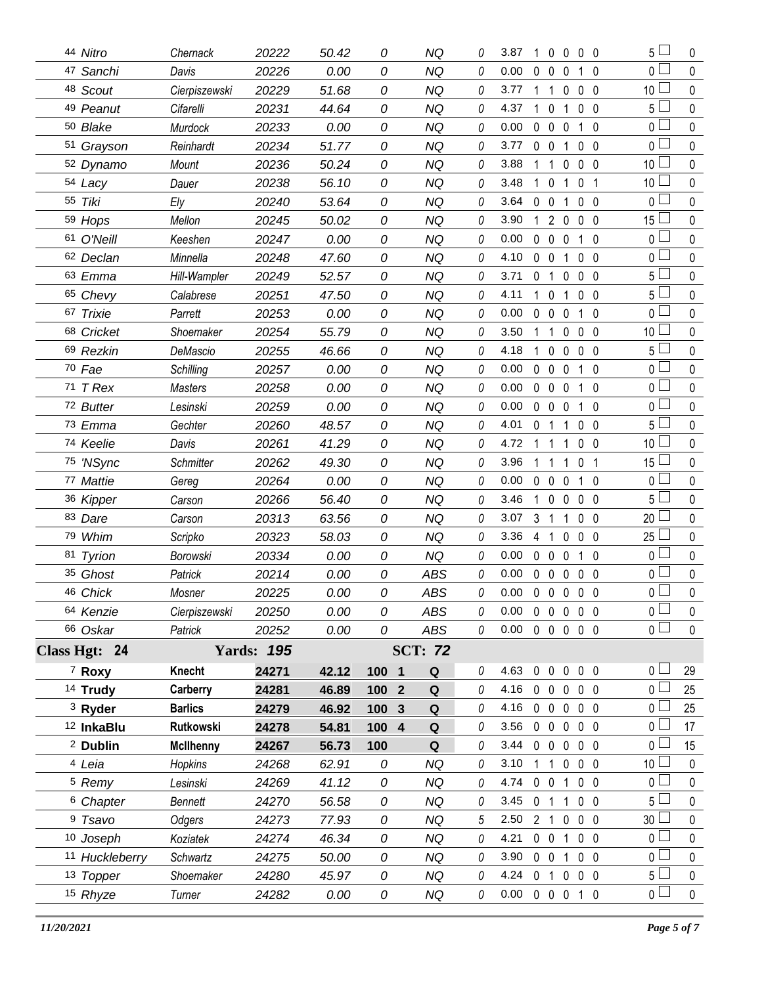|    | 44 Nitro              | Chernack         | 20222             | 50.42 | 0     | NQ                                     | 0 | 3.87                       | 1              | $\bf{0}$       | $\bf{0}$       | 0 <sub>0</sub>    |                | 5 L             | 0           |
|----|-----------------------|------------------|-------------------|-------|-------|----------------------------------------|---|----------------------------|----------------|----------------|----------------|-------------------|----------------|-----------------|-------------|
|    | 47 Sanchi             | Davis            | 20226             | 0.00  | 0     | <b>NQ</b>                              | 0 | 0.00                       | 0              | 0              | 0              | $\mathbf{1}$      | - 0            | 0 l             | $\mathbf 0$ |
|    | 48 Scout              | Cierpiszewski    | 20229             | 51.68 | 0     | <b>NQ</b>                              | 0 | 3.77                       |                | -1             | 0              | 0                 | $\overline{0}$ | 10              | 0           |
|    | 49 Peanut             | Cifarelli        | 20231             | 44.64 | 0     | NQ                                     | 0 | 4.37                       |                | $\mathbf 0$    |                | $\mathbf 0$       | $\overline{0}$ | $5\Box$         | $\pmb{0}$   |
|    | 50 Blake              | Murdock          | 20233             | 0.00  | 0     | <b>NQ</b>                              | 0 | 0.00                       | $\mathbf 0$    | $\mathbf 0$    | $\mathbf{0}$   | $1\quad0$         |                | $0-$            | 0           |
|    | 51 Grayson            | Reinhardt        | 20234             | 51.77 | 0     | <b>NQ</b>                              | 0 | 3.77                       | 0              | $\mathbf 0$    |                | $\mathbf 0$       | 0              | 0 <sup>2</sup>  | $\pmb{0}$   |
|    | 52 Dynamo             | Mount            | 20236             | 50.24 | 0     | <b>NQ</b>                              | 0 | 3.88                       |                | 1              | 0              | 0                 | $\overline{0}$ | 10              | 0           |
|    | 54 Lacy               | Dauer            | 20238             | 56.10 | 0     | <b>NQ</b>                              | 0 | 3.48                       | 1.             | $\mathbf 0$    |                | 0                 | -1             | 10 <sup>1</sup> | $\pmb{0}$   |
|    | 55 Tiki               | Ely              | 20240             | 53.64 | 0     | <b>NQ</b>                              | 0 | 3.64                       | 0              | $\mathbf{0}$   |                | 0 <sub>0</sub>    |                | 0 <sub>1</sub>  | 0           |
|    | 59 Hops               | Mellon           | 20245             | 50.02 | 0     | <b>NQ</b>                              | 0 | 3.90                       |                | $\overline{2}$ | 0              | $\mathbf 0$       | - 0            | 15              | $\pmb{0}$   |
|    | 61 O'Neill            | Keeshen          | 20247             | 0.00  | 0     | <b>NQ</b>                              | 0 | 0.00                       | $\mathbf 0$    | $\mathbf 0$    | 0              | $\mathbf{1}$      | $\overline{0}$ | 0 l             | $\mathbf 0$ |
|    | 62 Declan             | Minnella         | 20248             | 47.60 | 0     | <b>NQ</b>                              | 0 | 4.10                       | 0              | $\mathbf 0$    | 1              | $\mathbf 0$       | $\overline{0}$ | 0 <sub>0</sub>  | $\mathbf 0$ |
|    | 63 Emma               | Hill-Wampler     | 20249             | 52.57 | 0     | <b>NQ</b>                              | 0 | 3.71                       | 0              | 1              | 0              | 0 <sub>0</sub>    |                | 5 l             | 0           |
|    | 65 Chevy              | Calabrese        | 20251             | 47.50 | 0     | <b>NQ</b>                              | 0 | 4.11                       | 1.             | $\mathbf 0$    | 1              | 0 <sub>0</sub>    |                | 5 <sub>1</sub>  | $\pmb{0}$   |
|    | 67 Trixie             | Parrett          | 20253             | 0.00  | 0     | <b>NQ</b>                              | 0 | 0.00                       | $\mathbf{0}$   | $\mathbf 0$    | 0              | 1 <sub>0</sub>    |                | $0-$            | 0           |
|    | 68 Cricket            | Shoemaker        | 20254             | 55.79 | 0     | <b>NQ</b>                              | 0 | 3.50                       | 1              | $\mathbf{1}$   | 0              | 0 <sub>0</sub>    |                | 10 <sup>1</sup> | 0           |
|    | 69 Rezkin             | DeMascio         | 20255             | 46.66 | 0     | <b>NQ</b>                              | 0 | 4.18                       | $\mathbf{1}$   | $\mathbf{0}$   | 0              | 0 <sub>0</sub>    |                | $5 \sqcup$      | $\mathbf 0$ |
|    | 70 Fae                | Schilling        | 20257             | 0.00  | 0     | <b>NQ</b>                              | 0 | 0.00                       | 0              | $\mathbf 0$    | 0              | $\mathbf{1}$      | 0              | $\overline{0}$  | $\pmb{0}$   |
|    | $71$ T Rex            | <b>Masters</b>   | 20258             | 0.00  | 0     | <b>NQ</b>                              | 0 | 0.00                       | $\mathbf 0$    | $\mathbf 0$    | 0              | 1 <sub>0</sub>    |                | 0 l             | 0           |
|    | 72 Butter             | Lesinski         | 20259             | 0.00  | 0     | <b>NQ</b>                              | 0 | 0.00                       | $\mathbf{0}$   | $\mathbf 0$    | $\mathbf 0$    | $1\quad0$         |                | 0 <sub>1</sub>  | $\mathbf 0$ |
|    | 73 Emma               | Gechter          | 20260             | 48.57 | 0     | <b>NQ</b>                              | 0 | 4.01                       | 0              | $\mathbf{1}$   | 1              | 0 <sub>0</sub>    |                | 5 <sup>1</sup>  | $\mathbf 0$ |
|    | 74 Keelie             | Davis            | 20261             | 41.29 | 0     | <b>NQ</b>                              | 0 | 4.72                       |                | -1             |                | $\mathbf 0$       | $\overline{0}$ | 10              | $\pmb{0}$   |
|    | 75 'NSync             | Schmitter        | 20262             | 49.30 | 0     | <b>NQ</b>                              | 0 | 3.96                       | $\mathbf 1$    | 1              | 1              | 0                 | -1             | 15              | $\mathbf 0$ |
|    | 77 Mattie             | Gereg            | 20264             | 0.00  | 0     | <b>NQ</b>                              | 0 | 0.00                       | $\mathbf{0}$   | $\mathbf 0$    | 0              | $1\quad0$         |                | 0 <sub>0</sub>  | $\mathbf 0$ |
|    | 36 Kipper             | Carson           | 20266             | 56.40 | 0     | <b>NQ</b>                              | 0 | 3.46                       | 1              | $\mathbf{0}$   | $\mathbf{0}$   | 0 <sub>0</sub>    |                | 5 L             | $\pmb{0}$   |
|    | 83 Dare               | Carson           | 20313             | 63.56 | 0     | <b>NQ</b>                              | 0 | 3.07                       | 3              | -1             | 1              | $\mathbf 0$       | $\overline{0}$ | 20              | $\pmb{0}$   |
|    | 79 Whim               | Scripko          | 20323             | 58.03 | 0     | <b>NQ</b>                              | 0 | 3.36                       | $\overline{4}$ | -1             | 0              | $\mathbf{0}$      | 0              | 25              | $\mathbf 0$ |
| 81 | <b>Tyrion</b>         | Borowski         | 20334             | 0.00  | 0     | <b>NQ</b>                              | 0 | 0.00                       | $\mathbf{0}$   | $\mathbf 0$    | 0              | 1 <sub>0</sub>    |                | 0 <sub>0</sub>  | $\pmb{0}$   |
|    | 35 Ghost              | Patrick          | 20214             | 0.00  | 0     | <b>ABS</b>                             | 0 | 0.00                       | $\mathbf 0$    | $\Omega$       | 0              | $0\quad 0$        |                | 0               | $\mathbf 0$ |
|    | 46 Chick              | Mosner           | 20225             | 0.00  | 0     | <b>ABS</b>                             | 0 | 0.00                       | $\mathbf 0$    | $\mathbf 0$    | $\mathbf 0$    | $\mathbf 0$       | $\overline{0}$ | $\overline{0}$  | $\mathbf 0$ |
|    | 64 Kenzie             | Cierpiszewski    | 20250             | 0.00  | 0     | ABS                                    | 0 | 0.00                       |                | 00000          |                |                   |                | 0 <sub>0</sub>  | $\mathbf 0$ |
|    | 66 Oskar              | Patrick          | 20252             | 0.00  | 0     | ABS                                    | 0 | 0.00                       |                | 0 0 0 0 0      |                |                   |                | $\overline{0}$  | $\mathbf 0$ |
|    | Class Hgt: 24         |                  | <b>Yards: 195</b> |       |       | <b>SCT: 72</b>                         |   |                            |                |                |                |                   |                |                 |             |
|    | <sup>7</sup> Roxy     | <b>Knecht</b>    | 24271             | 42.12 | 100 1 | Q                                      | 0 | 4.63                       |                | $0\quad 0$     |                | $0\quad 0\quad 0$ |                | 0 <sub>1</sub>  | 29          |
|    | <sup>14</sup> Trudy   | Carberry         | 24281             | 46.89 | 100   | $\overline{\mathbf{2}}$<br>$\mathbf Q$ | 0 | 4.16                       | $\mathbf 0$    | $\mathbf 0$    | $\mathbf 0$    | $0\quad 0$        |                | 0 <sub>1</sub>  | 25          |
|    | <sup>3</sup> Ryder    | <b>Barlics</b>   | 24279             | 46.92 | 100   | $\mathbf{3}$<br>Q                      | 0 | 4.16                       |                | $0\quad 0$     | $\mathbf 0$    | $0\quad 0$        |                | 0 L             | 25          |
|    | <sup>12</sup> InkaBlu | Rutkowski        | 24278             | 54.81 | 100 4 | Q                                      | 0 | 3.56                       |                | $0\quad 0$     | $\mathbf 0$    | $0\quad 0$        |                | 0 <sub>1</sub>  | 17          |
|    | <sup>2</sup> Dublin   | <b>McIlhenny</b> | 24267             | 56.73 | 100   | Q                                      | 0 | 3.44                       |                | $0\quad 0$     | $\mathbf 0$    | $0\quad 0$        |                | 0 <sub>l</sub>  | 15          |
|    | <sup>4</sup> Leia     | Hopkins          | 24268             | 62.91 | 0     | NQ                                     | 0 | 3.10                       |                | $1\quad1$      | $\mathbf 0$    | $0\quad 0$        |                | 10 <sup>1</sup> | $\mathbf 0$ |
|    | <sup>5</sup> Remy     | Lesinski         | 24269             | 41.12 | 0     | <b>NQ</b>                              | 0 | 4.74                       | $0\quad 0$     |                | 1              | $0\quad 0$        |                | 0 l             | 0           |
|    | <sup>6</sup> Chapter  | Bennett          | 24270             | 56.58 | 0     | <b>NQ</b>                              | 0 | 3.45                       | 0 <sub>1</sub> |                | 1              | $0\quad 0$        |                | 5 L             | $\pmb{0}$   |
|    | <sup>9</sup> Tsavo    | Odgers           | 24273             | 77.93 | 0     | NQ                                     | 5 | 2.50                       | 2 <sub>1</sub> |                | $\mathbf 0$    | $0\quad 0$        |                | 30 <sub>2</sub> | $\mathbf 0$ |
|    | 10 Joseph             | Koziatek         | 24274             | 46.34 | 0     | NQ                                     | 0 | 4.21                       |                | $0\quad 0$     | 1              | $0\quad 0$        |                | 0 <sub>0</sub>  | $\pmb{0}$   |
|    | 11 Huckleberry        | Schwartz         | 24275             | 50.00 | 0     | <b>NQ</b>                              | 0 | 3.90                       |                | $0\quad 0$     | 1              | $0\quad 0$        |                | 0 L             | $\mathbf 0$ |
|    | 13 Topper             | Shoemaker        | 24280             | 45.97 | 0     | NQ                                     | 0 | 4.24                       |                | 0 <sub>1</sub> | $\overline{0}$ | $0\quad 0$        |                | 5 <sub>1</sub>  | $\pmb{0}$   |
|    | 15 Rhyze              | Turner           | 24282             | 0.00  | 0     | NQ                                     | 0 | $0.00 \t0 \t0 \t0 \t1 \t0$ |                |                |                |                   |                | $\overline{0}$  | $\pmb{0}$   |
|    |                       |                  |                   |       |       |                                        |   |                            |                |                |                |                   |                |                 |             |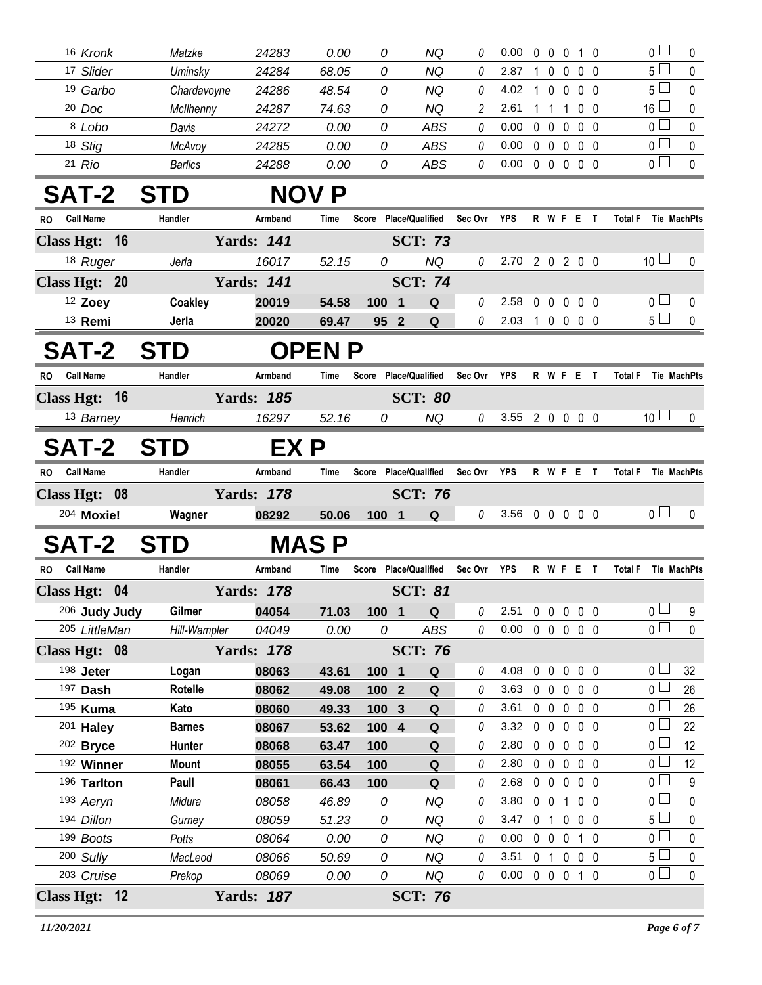| 16 Kronk                      | Matzke            | 24283             | 0.00          | 0      | ΝQ                     | 0        | 0.00             | 0              | $\mathbf 0$                  | 0 1 0                        |                |                | $\overline{0}$        | 0                  |
|-------------------------------|-------------------|-------------------|---------------|--------|------------------------|----------|------------------|----------------|------------------------------|------------------------------|----------------|----------------|-----------------------|--------------------|
| 17 Slider                     | Uminsky           | 24284             | 68.05         | 0      | NQ                     | 0        | 2.87             | 1              | $\mathbf{0}$                 | 0                            | 0 <sub>0</sub> |                | $5 \Box$              | 0                  |
| <sup>19</sup> Garbo           | Chardavoyne       | 24286             | 48.54         | 0      | NQ                     | 0        | 4.02             | 1              | $\mathbf 0$                  | $\mathbf 0$                  | $0\quad 0$     |                | 5                     | 0                  |
| $20$ Doc                      | McIlhenny         | 24287             | 74.63         | 0      | NQ                     | 2        | 2.61             |                | 1                            | -1                           | 0 <sub>0</sub> |                | $16 \Box$             | 0                  |
| 8 Lobo                        | Davis             | 24272             | 0.00          | 0      | <b>ABS</b>             | 0        | 0.00             | $\mathbf 0$    | $\mathbf 0$                  | $\mathbf 0$                  | 0 <sub>0</sub> |                | 0 <sub>0</sub>        | 0                  |
| 18 Stig                       | McAvoy            | 24285             | 0.00          | 0      | <b>ABS</b>             | 0        | 0.00             | $\mathbf 0$    | $\overline{0}$               | $\overline{0}$               | $0\quad 0$     |                | 0 <sub>l</sub>        | 0                  |
| $21$ Rio                      | <b>Barlics</b>    | 24288             | 0.00          | 0      | <b>ABS</b>             | 0        | 0.00             |                | $0\quad 0$                   | $0\quad 0\quad 0$            |                |                | 0 <sub>1</sub>        | 0                  |
| <b>SAT-2</b>                  | <b>STD</b>        |                   | <b>NOV P</b>  |        |                        |          |                  |                |                              |                              |                |                |                       |                    |
| <b>Call Name</b><br>RO.       | Handler           | Armband           | Time          |        | Score Place/Qualified  | Sec Ovr  | YPS              |                |                              | <b>R W F E</b>               | $\mathbf{T}$   | <b>Total F</b> |                       | Tie MachPts        |
| Class Hgt: 16                 |                   | <b>Yards: 141</b> |               |        | <b>SCT: 73</b>         |          |                  |                |                              |                              |                |                |                       |                    |
| 18 Ruger                      | Jerla             | 16017             | 52.15         | 0      | <b>NQ</b>              | 0        | 2.70 2 0 2 0 0   |                |                              |                              |                |                | 10 <sup>1</sup>       | 0                  |
| Class Hgt: 20                 |                   | <b>Yards: 141</b> |               |        | <b>SCT: 74</b>         |          |                  |                |                              |                              |                |                |                       |                    |
| 12 Zoey                       | Coakley           | 20019             | 54.58         | 100    | 1<br>Q                 | 0        | 2.58             | 0              | $\mathbf 0$                  | $\mathbf 0$                  | 0 <sub>0</sub> |                | 0 <sub>0</sub>        | 0                  |
| <sup>13</sup> Remi            | Jerla             | 20020             | 69.47         | 95 2   | Q                      | 0        | 2.03             |                |                              | 10000                        |                |                | 5 <sub>1</sub>        | $\mathbf 0$        |
| <b>SAT-2</b>                  | <b>STD</b>        |                   | <b>OPEN</b>   |        |                        |          |                  |                |                              |                              |                |                |                       |                    |
| <b>Call Name</b><br><b>RO</b> | Handler           | Armband           | Time          |        | Score Place/Qualified  | Sec Ovr  | <b>YPS</b>       |                |                              | <b>RWFET</b>                 |                | <b>Total F</b> |                       | <b>Tie MachPts</b> |
| Class Hgt: 16                 |                   | <b>Yards: 185</b> |               |        | <b>SCT: 80</b>         |          |                  |                |                              |                              |                |                |                       |                    |
| 13 Barney                     | Henrich           | 16297             | 52.16         | 0      | NQ                     | 0        | $3.55$ 2 0 0 0 0 |                |                              |                              |                |                | 10 <sup>1</sup>       | $\bf{0}$           |
| SAT-2                         | <b>STD</b>        | EX P              |               |        |                        |          |                  |                |                              |                              |                |                |                       |                    |
| <b>Call Name</b><br><b>RO</b> | Handler           | Armband           | Time          |        | Score Place/Qualified  | Sec Ovr  | YPS              |                |                              | R W F E T                    |                | <b>Total F</b> |                       | Tie MachPts        |
| Class Hgt: 08                 |                   | <b>Yards: 178</b> |               |        | <b>SCT: 76</b>         |          |                  |                |                              |                              |                |                |                       |                    |
| 204 Moxie!                    | Wagner            | 08292             | 50.06         | 100 1  | Q                      | 0        | 3.56 0 0 0 0 0   |                |                              |                              |                |                | 0 <sub>1</sub>        | 0                  |
|                               | <b>STD</b>        |                   | <b>MAS P</b>  |        |                        |          |                  |                |                              |                              |                |                |                       |                    |
| SAT-2                         |                   |                   |               |        |                        |          |                  |                |                              |                              |                |                |                       |                    |
| <b>Call Name</b><br>RO.       | Handler           | Armband           | Time          |        | Score Place/Qualified  | Sec Ovr  | YPS              |                |                              | R W F E T                    |                | <b>Total F</b> |                       | <b>Tie MachPts</b> |
| Class Hgt: 04                 |                   | <b>Yards: 178</b> |               |        | <b>SCT: 81</b>         |          |                  |                |                              |                              |                |                |                       |                    |
| 206 Judy Judy                 | Gilmer            | 04054             | 71.03         | 100 1  | Q                      | 0        | 2.51             |                |                              | 00000                        |                |                | 0 <sub>0</sub>        | 9                  |
| 205 LittleMan                 | Hill-Wampler      | 04049             | 0.00          | 0      | <b>ABS</b>             | $\it{0}$ | 0.00             |                |                              | 0 0 0 0 0                    |                |                | 0 <sup>2</sup>        | $\pmb{0}$          |
| Class Hgt: 08                 |                   | <b>Yards: 178</b> |               |        | <b>SCT: 76</b>         |          |                  |                |                              |                              |                |                |                       |                    |
| 198 Jeter                     | Logan             | 08063             | 43.61         | 100 1  | Q                      | 0        | 4.08             |                |                              | 0 0 0 0 0                    |                |                | $0-$                  | 32                 |
| 197 Dash                      | Rotelle           | 08062             | 49.08         | $1002$ | ${\bf Q}$              | 0        | 3.63             |                | $0\quad 0$                   | $0\quad 0\quad 0$            |                |                | 0 <sup>1</sup>        | 26                 |
| 195 Kuma                      | Kato              | 08060             | 49.33         | 100 3  | Q                      | 0        | 3.61             |                | $0\quad 0$                   | $\overline{0}$               | $0\quad 0$     |                | 0 L                   | 26                 |
| 201 Haley                     | <b>Barnes</b>     | 08067             | 53.62         | 100 4  | Q                      | 0        | 3.32             |                | $0\quad 0$                   | $\mathbf 0$                  | $0\quad 0$     |                | 0 <sub>l</sub>        | 22                 |
| 202 Bryce                     | Hunter            | 08068             | 63.47         | 100    | Q                      | 0        | 2.80             |                | $0\quad 0$                   | $\mathbf 0$                  | $0\quad 0$     |                | 0 L                   | 12                 |
| 192 Winner                    | <b>Mount</b>      | 08055             | 63.54         | 100    | Q                      | 0        | 2.80             |                |                              | 0 0 0 0 0                    |                |                | 0 <sup>2</sup>        | 12                 |
| 196 Tarlton                   | Paull             | 08061             | 66.43         | 100    | Q                      | 0        | 2.68             |                |                              | 0 0 0 0 0                    |                |                | 0 <sub>0</sub>        | 9                  |
| 193 Aeryn                     | Midura            | 08058             | 46.89         | 0      | <b>NQ</b>              | 0        | 3.80             |                | $0\quad 0$                   | $\mathbf{1}$                 | $0\quad 0$     |                | 0 <sub>0</sub>        | 0                  |
| 194 Dillon                    | Gurney            | 08059             | 51.23         | 0      | NQ                     | 0        | 3.47<br>0.00     | 0 <sub>1</sub> |                              | $0\quad 0\quad 0$            |                |                | 5 l<br>0 <sub>0</sub> | 0                  |
| 199 Boots<br>200 Sully        | Potts             | 08064             | 0.00          | 0<br>0 | <b>NQ</b><br><b>NQ</b> | 0<br>0   | 3.51             |                | $0\quad 0$<br>0 <sub>1</sub> | $0$ 1 0<br>$0\quad 0\quad 0$ |                |                | 5 <sub>1</sub>        | 0                  |
| 203 Cruise                    | MacLeod<br>Prekop | 08066<br>08069    | 50.69<br>0.00 | 0      | NQ                     | $\theta$ | 0.00             |                |                              | 0 0 0 1 0                    |                |                | $0-$                  | 0<br>$\mathbf 0$   |
| Class Hgt: 12                 |                   | <b>Yards: 187</b> |               |        | <b>SCT: 76</b>         |          |                  |                |                              |                              |                |                |                       |                    |
|                               |                   |                   |               |        |                        |          |                  |                |                              |                              |                |                |                       |                    |